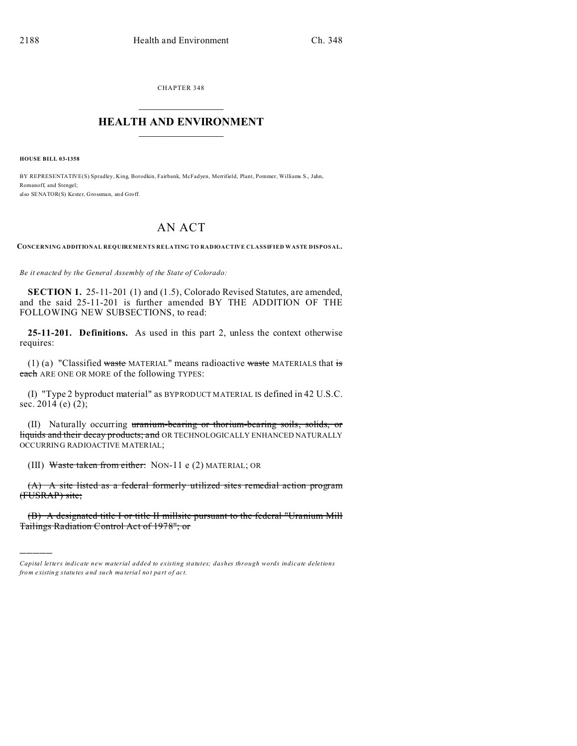CHAPTER 348  $\overline{\phantom{a}}$  , where  $\overline{\phantom{a}}$ 

### **HEALTH AND ENVIRONMENT**  $\_$   $\_$   $\_$   $\_$   $\_$   $\_$   $\_$   $\_$

**HOUSE BILL 03-1358**

)))))

BY REPRESENTATIVE(S) Spradley, King, Borodkin, Fairbank, McFadyen, Merrifield, Plant, Pommer, Williams S., Jahn, Romanoff, and Stengel; also SENATOR(S) Kester, Grossman, and Groff.

# AN ACT

**CONCERNING ADDITIONAL REQUIREMENTS RELATING TO RADIOACTIVE CLASSIFIED WASTE DISPOSAL.**

*Be it enacted by the General Assembly of the State of Colorado:*

**SECTION 1.** 25-11-201 (1) and (1.5), Colorado Revised Statutes, are amended, and the said 25-11-201 is further amended BY THE ADDITION OF THE FOLLOWING NEW SUBSECTIONS, to read:

**25-11-201. Definitions.** As used in this part 2, unless the context otherwise requires:

(1) (a) "Classified waste MATERIAL" means radioactive waste MATERIALS that is each ARE ONE OR MORE of the following TYPES:

(I) "Type 2 byproduct material" as BYPRODUCT MATERIAL IS defined in 42 U.S.C. sec.  $2014$  (e)  $(2)$ ;

(II) Naturally occurring uranium-bearing or thorium-bearing soils, solids, or liquids and their decay products; and OR TECHNOLOGICALLY ENHANCED NATURALLY OCCURRING RADIOACTIVE MATERIAL;

(III) Waste taken from either: NON-11 e (2) MATERIAL; OR

(A) A site listed as a federal formerly utilized sites remedial action program (FUSRAP) site;

(B) A designated title I or title II millsite pursuant to the federal "Uranium Mill Tailings Radiation Control Act of 1978"; or

*Capital letters indicate new material added to existing statutes; dashes through words indicate deletions from e xistin g statu tes a nd such ma teria l no t pa rt of ac t.*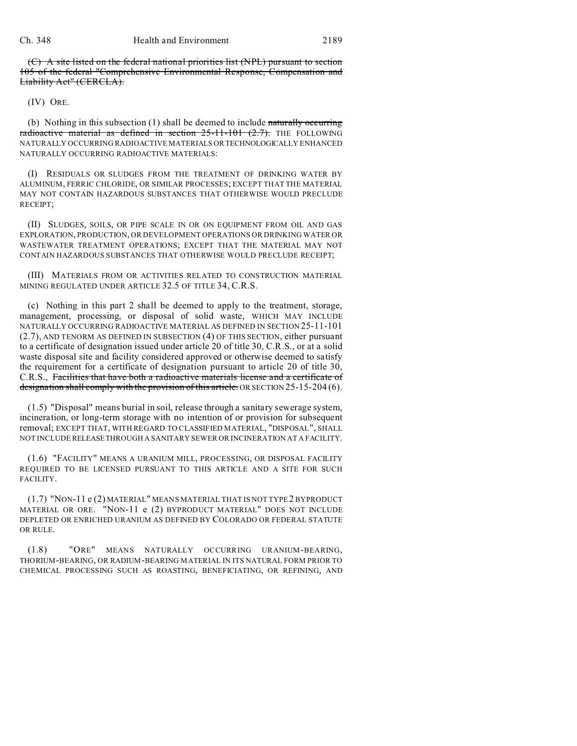(C) A site listed on the federal national priorities list (NPL) pursuant to section 105 of the federal "Comprehensive Environmental Response, Compensation and Liability Act" (CERCLA).

(IV) ORE.

(b) Nothing in this subsection  $(1)$  shall be deemed to include naturally occurring radioactive material as defined in section  $25-11-101$   $(2.7)$ . THE FOLLOWING NATURALLY OCCURRING RADIOACTIVE MATERIALS ORTECHNOLOGICALLY ENHANCED NATURALLY OCCURRING RADIOACTIVE MATERIALS:

(I) RESIDUALS OR SLUDGES FROM THE TREATMENT OF DRINKING WATER BY ALUMINUM, FERRIC CHLORIDE, OR SIMILAR PROCESSES; EXCEPT THAT THE MATERIAL MAY NOT CONTAIN HAZARDOUS SUBSTANCES THAT OTHERWISE WOULD PRECLUDE RECEIPT;

(II) SLUDGES, SOILS, OR PIPE SCALE IN OR ON EQUIPMENT FROM OIL AND GAS EXPLORATION, PRODUCTION, OR DEVELOPMENT OPERATIONS OR DRINKING WATER OR WASTEWATER TREATMENT OPERATIONS; EXCEPT THAT THE MATERIAL MAY NOT CONTAIN HAZARDOUS SUBSTANCES THAT OTHERWISE WOULD PRECLUDE RECEIPT;

(III) MATERIALS FROM OR ACTIVITIES RELATED TO CONSTRUCTION MATERIAL MINING REGULATED UNDER ARTICLE 32.5 OF TITLE 34, C.R.S.

(c) Nothing in this part 2 shall be deemed to apply to the treatment, storage, management, processing, or disposal of solid waste, WHICH MAY INCLUDE NATURALLY OCCURRING RADIOACTIVE MATERIAL AS DEFINED IN SECTION 25-11-101 (2.7), AND TENORM AS DEFINED IN SUBSECTION (4) OF THIS SECTION, either pursuant to a certificate of designation issued under article 20 of title 30, C.R.S., or at a solid waste disposal site and facility considered approved or otherwise deemed to satisfy the requirement for a certificate of designation pursuant to article 20 of title 30, C.R.S., Facilities that have both a radioactive materials license and a certificate of designation shall comply with the provision of this article. OR SECTION 25-15-204 (6).

(1.5) "Disposal" means burial in soil, release through a sanitary sewerage system, incineration, or long-term storage with no intention of or provision for subsequent removal; EXCEPT THAT, WITH REGARD TO CLASSIFIED MATERIAL, "DISPOSAL", SHALL NOT INCLUDE RELEASETHROUGH A SANITARY SEWER OR INCINERATION AT A FACILITY.

(1.6) "FACILITY" MEANS A URANIUM MILL, PROCESSING, OR DISPOSAL FACILITY REQUIRED TO BE LICENSED PURSUANT TO THIS ARTICLE AND A SITE FOR SUCH FACILITY.

(1.7) "NON-11 e (2) MATERIAL" MEANS MATERIAL THAT IS NOT TYPE 2 BYPRODUCT MATERIAL OR ORE. "NON-11 e (2) BYPRODUCT MATERIAL" DOES NOT INCLUDE DEPLETED OR ENRICHED URANIUM AS DEFINED BY COLORADO OR FEDERAL STATUTE OR RULE.

(1.8) "ORE" MEANS NATURALLY OCCURRING URANIUM-BEARING, THORIUM-BEARING, OR RADIUM-BEARING MATERIAL IN ITS NATURAL FORM PRIOR TO CHEMICAL PROCESSING SUCH AS ROASTING, BENEFICIATING, OR REFINING, AND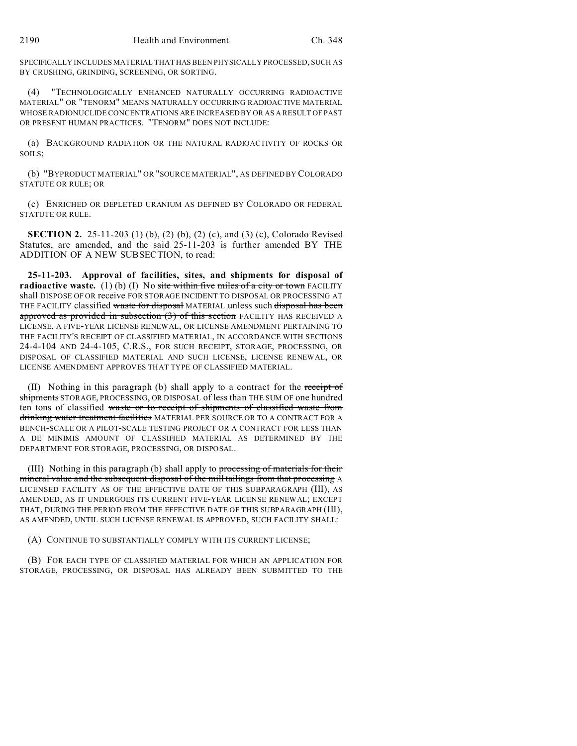SPECIFICALLY INCLUDES MATERIAL THAT HAS BEEN PHYSICALLY PROCESSED, SUCH AS BY CRUSHING, GRINDING, SCREENING, OR SORTING.

(4) "TECHNOLOGICALLY ENHANCED NATURALLY OCCURRING RADIOACTIVE MATERIAL" OR "TENORM" MEANS NATURALLY OCCURRING RADIOACTIVE MATERIAL WHOSE RADIONUCLIDE CONCENTRATIONS ARE INCREASED BY OR AS A RESULT OF PAST OR PRESENT HUMAN PRACTICES. "TENORM" DOES NOT INCLUDE:

(a) BACKGROUND RADIATION OR THE NATURAL RADIOACTIVITY OF ROCKS OR SOILS;

(b) "BYPRODUCT MATERIAL" OR "SOURCE MATERIAL", AS DEFINED BY COLORADO STATUTE OR RULE; OR

(c) ENRICHED OR DEPLETED URANIUM AS DEFINED BY COLORADO OR FEDERAL STATUTE OR RULE.

**SECTION 2.** 25-11-203 (1) (b), (2) (b), (2) (c), and (3) (c), Colorado Revised Statutes, are amended, and the said 25-11-203 is further amended BY THE ADDITION OF A NEW SUBSECTION, to read:

**25-11-203. Approval of facilities, sites, and shipments for disposal of radioactive waste.** (1) (b) (I) No site within five miles of a city or town FACILITY shall DISPOSE OF OR receive FOR STORAGE INCIDENT TO DISPOSAL OR PROCESSING AT THE FACILITY classified waste for disposal MATERIAL unless such disposal has been approved as provided in subsection  $(3)$  of this section FACILITY HAS RECEIVED A LICENSE, A FIVE-YEAR LICENSE RENEWAL, OR LICENSE AMENDMENT PERTAINING TO THE FACILITY'S RECEIPT OF CLASSIFIED MATERIAL, IN ACCORDANCE WITH SECTIONS 24-4-104 AND 24-4-105, C.R.S., FOR SUCH RECEIPT, STORAGE, PROCESSING, OR DISPOSAL OF CLASSIFIED MATERIAL AND SUCH LICENSE, LICENSE RENEWAL, OR LICENSE AMENDMENT APPROVES THAT TYPE OF CLASSIFIED MATERIAL.

(II) Nothing in this paragraph (b) shall apply to a contract for the receipt of shipments STORAGE, PROCESSING, OR DISPOSAL of less than THE SUM OF one hundred ten tons of classified waste or to receipt of shipments of classified waste from drinking water treatment facilities MATERIAL PER SOURCE OR TO A CONTRACT FOR A BENCH-SCALE OR A PILOT-SCALE TESTING PROJECT OR A CONTRACT FOR LESS THAN A DE MINIMIS AMOUNT OF CLASSIFIED MATERIAL AS DETERMINED BY THE DEPARTMENT FOR STORAGE, PROCESSING, OR DISPOSAL.

(III) Nothing in this paragraph (b) shall apply to processing of materials for their mineral value and the subsequent disposal of the mill tailings from that processing A LICENSED FACILITY AS OF THE EFFECTIVE DATE OF THIS SUBPARAGRAPH (III), AS AMENDED, AS IT UNDERGOES ITS CURRENT FIVE-YEAR LICENSE RENEWAL; EXCEPT THAT, DURING THE PERIOD FROM THE EFFECTIVE DATE OF THIS SUBPARAGRAPH (III), AS AMENDED, UNTIL SUCH LICENSE RENEWAL IS APPROVED, SUCH FACILITY SHALL:

(A) CONTINUE TO SUBSTANTIALLY COMPLY WITH ITS CURRENT LICENSE;

(B) FOR EACH TYPE OF CLASSIFIED MATERIAL FOR WHICH AN APPLICATION FOR STORAGE, PROCESSING, OR DISPOSAL HAS ALREADY BEEN SUBMITTED TO THE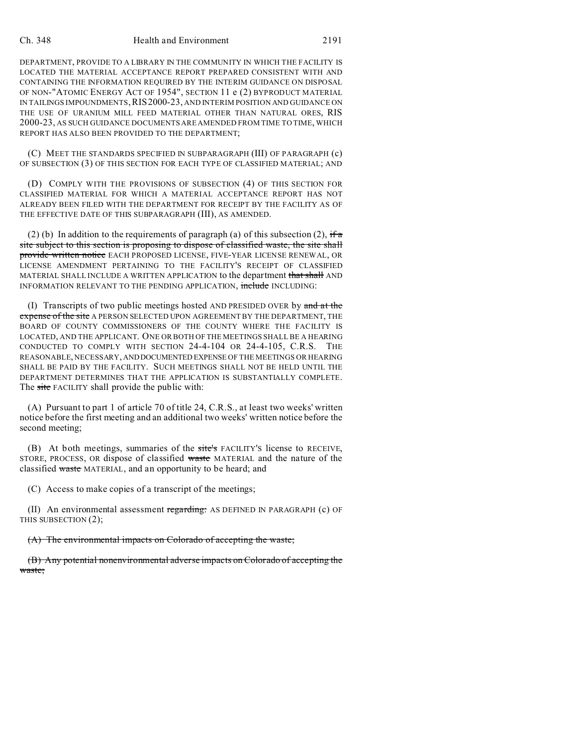#### Ch. 348 Health and Environment 2191

DEPARTMENT, PROVIDE TO A LIBRARY IN THE COMMUNITY IN WHICH THE FACILITY IS LOCATED THE MATERIAL ACCEPTANCE REPORT PREPARED CONSISTENT WITH AND CONTAINING THE INFORMATION REQUIRED BY THE INTERIM GUIDANCE ON DISPOSAL OF NON-"ATOMIC ENERGY ACT OF 1954", SECTION 11 e (2) BYPRODUCT MATERIAL IN TAILINGS IMPOUNDMENTS,RIS2000-23, AND INTERIM POSITION AND GUIDANCE ON THE USE OF URANIUM MILL FEED MATERIAL OTHER THAN NATURAL ORES, RIS 2000-23, AS SUCH GUIDANCE DOCUMENTS ARE AMENDED FROM TIME TO TIME, WHICH REPORT HAS ALSO BEEN PROVIDED TO THE DEPARTMENT;

(C) MEET THE STANDARDS SPECIFIED IN SUBPARAGRAPH (III) OF PARAGRAPH (c) OF SUBSECTION (3) OF THIS SECTION FOR EACH TYPE OF CLASSIFIED MATERIAL; AND

(D) COMPLY WITH THE PROVISIONS OF SUBSECTION (4) OF THIS SECTION FOR CLASSIFIED MATERIAL FOR WHICH A MATERIAL ACCEPTANCE REPORT HAS NOT ALREADY BEEN FILED WITH THE DEPARTMENT FOR RECEIPT BY THE FACILITY AS OF THE EFFECTIVE DATE OF THIS SUBPARAGRAPH (III), AS AMENDED.

(2) (b) In addition to the requirements of paragraph (a) of this subsection (2), if  $\pi$ site subject to this section is proposing to dispose of classified waste, the site shall provide written notice EACH PROPOSED LICENSE, FIVE-YEAR LICENSE RENEWAL, OR LICENSE AMENDMENT PERTAINING TO THE FACILITY'S RECEIPT OF CLASSIFIED MATERIAL SHALL INCLUDE A WRITTEN APPLICATION to the department that shall AND INFORMATION RELEVANT TO THE PENDING APPLICATION, include INCLUDING:

(I) Transcripts of two public meetings hosted AND PRESIDED OVER by  $\theta$  and  $\theta$  at the expense of the site A PERSON SELECTED UPON AGREEMENT BY THE DEPARTMENT, THE BOARD OF COUNTY COMMISSIONERS OF THE COUNTY WHERE THE FACILITY IS LOCATED, AND THE APPLICANT. ONE OR BOTH OF THE MEETINGS SHALL BE A HEARING CONDUCTED TO COMPLY WITH SECTION 24-4-104 OR 24-4-105, C.R.S. THE REASONABLE, NECESSARY, ANDDOCUMENTED EXPENSE OF THE MEETINGS OR HEARING SHALL BE PAID BY THE FACILITY. SUCH MEETINGS SHALL NOT BE HELD UNTIL THE DEPARTMENT DETERMINES THAT THE APPLICATION IS SUBSTANTIALLY COMPLETE. The site FACILITY shall provide the public with:

(A) Pursuant to part 1 of article 70 of title 24, C.R.S., at least two weeks' written notice before the first meeting and an additional two weeks' written notice before the second meeting;

(B) At both meetings, summaries of the site's FACILITY'S license to RECEIVE, STORE, PROCESS, OR dispose of classified waste MATERIAL and the nature of the classified waste MATERIAL, and an opportunity to be heard; and

(C) Access to make copies of a transcript of the meetings;

(II) An environmental assessment regarding: AS DEFINED IN PARAGRAPH (c) OF THIS SUBSECTION (2);

(A) The environmental impacts on Colorado of accepting the waste;

(B) Any potential nonenvironmental adverse impacts on Colorado of accepting the waste;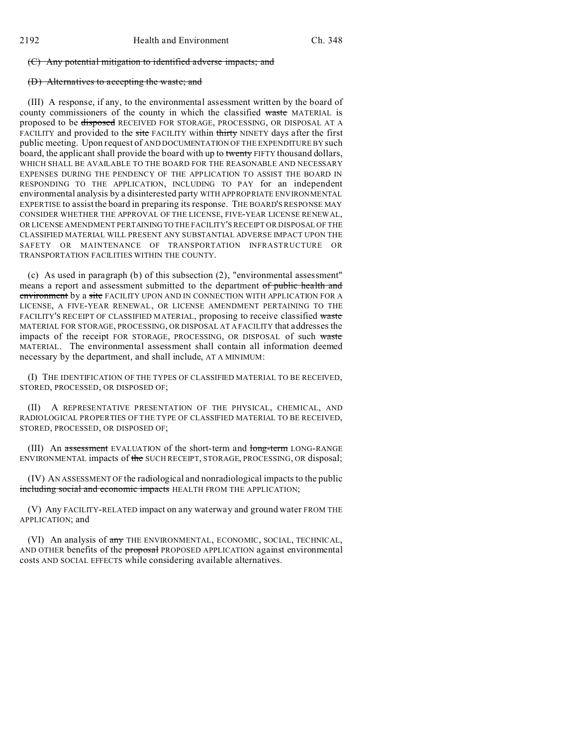## (C) Any potential mitigation to identified adverse impacts; and

## (D) Alternatives to accepting the waste; and

(III) A response, if any, to the environmental assessment written by the board of county commissioners of the county in which the classified waste MATERIAL is proposed to be disposed RECEIVED FOR STORAGE, PROCESSING, OR DISPOSAL AT A FACILITY and provided to the site FACILITY within thirty NINETY days after the first public meeting. Upon request of AND DOCUMENTATION OF THE EXPENDITURE BY such board, the applicant shall provide the board with up to twenty FIFTY thousand dollars, WHICH SHALL BE AVAILABLE TO THE BOARD FOR THE REASONABLE AND NECESSARY EXPENSES DURING THE PENDENCY OF THE APPLICATION TO ASSIST THE BOARD IN RESPONDING TO THE APPLICATION, INCLUDING TO PAY for an independent environmental analysis by a disinterested party WITH APPROPRIATE ENVIRONMENTAL EXPERTISE to assist the board in preparing its response. THE BOARD'S RESPONSE MAY CONSIDER WHETHER THE APPROVAL OF THE LICENSE, FIVE-YEAR LICENSE RENEWAL, OR LICENSE AMENDMENT PERTAINING TO THE FACILITY'S RECEIPT OR DISPOSAL OF THE CLASSIFIED MATERIAL WILL PRESENT ANY SUBSTANTIAL ADVERSE IMPACT UPON THE SAFETY OR MAINTENANCE OF TRANSPORTATION INFRASTRUCTURE OR TRANSPORTATION FACILITIES WITHIN THE COUNTY.

(c) As used in paragraph (b) of this subsection (2), "environmental assessment" means a report and assessment submitted to the department of public health and environment by a site FACILITY UPON AND IN CONNECTION WITH APPLICATION FOR A LICENSE, A FIVE-YEAR RENEWAL, OR LICENSE AMENDMENT PERTAINING TO THE FACILITY'S RECEIPT OF CLASSIFIED MATERIAL, proposing to receive classified waste MATERIAL FOR STORAGE, PROCESSING, OR DISPOSAL AT A FACILITY that addresses the impacts of the receipt FOR STORAGE, PROCESSING, OR DISPOSAL of such waste MATERIAL. The environmental assessment shall contain all information deemed necessary by the department, and shall include, AT A MINIMUM:

(I) THE IDENTIFICATION OF THE TYPES OF CLASSIFIED MATERIAL TO BE RECEIVED, STORED, PROCESSED, OR DISPOSED OF;

(II) A REPRESENTATIVE PRESENTATION OF THE PHYSICAL, CHEMICAL, AND RADIOLOGICAL PROPERTIES OF THE TYPE OF CLASSIFIED MATERIAL TO BE RECEIVED, STORED, PROCESSED, OR DISPOSED OF;

(III) An assessment EVALUATION of the short-term and long-term LONG-RANGE ENVIRONMENTAL impacts of the SUCH RECEIPT, STORAGE, PROCESSING, OR disposal;

(IV) AN ASSESSMENT OF the radiological and nonradiological impacts to the public including social and economic impacts HEALTH FROM THE APPLICATION;

(V) Any FACILITY-RELATED impact on any waterway and ground water FROM THE APPLICATION; and

(VI) An analysis of any THE ENVIRONMENTAL, ECONOMIC, SOCIAL, TECHNICAL, AND OTHER benefits of the **proposal** PROPOSED APPLICATION against environmental costs AND SOCIAL EFFECTS while considering available alternatives.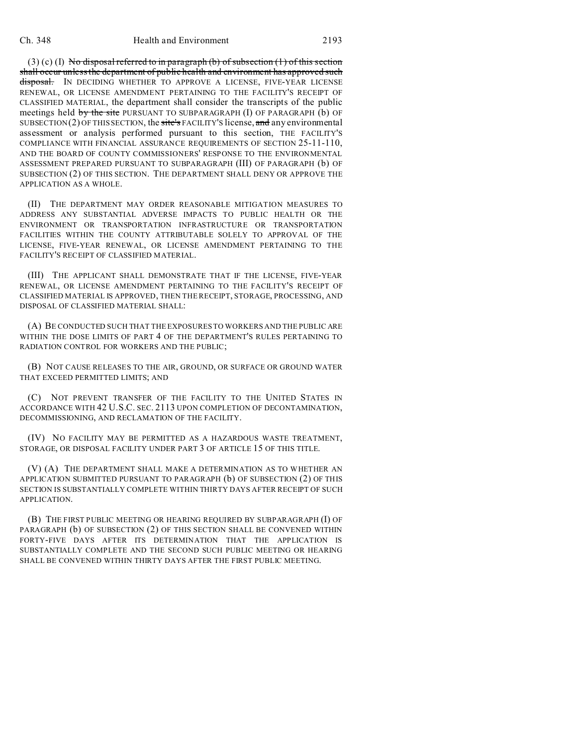$(3)$  (c) (I) No disposal referred to in paragraph (b) of subsection (1) of this section shall occur unless the department of public health and environment has approved such disposal. IN DECIDING WHETHER TO APPROVE A LICENSE, FIVE-YEAR LICENSE RENEWAL, OR LICENSE AMENDMENT PERTAINING TO THE FACILITY'S RECEIPT OF CLASSIFIED MATERIAL, the department shall consider the transcripts of the public meetings held by the site PURSUANT TO SUBPARAGRAPH (I) OF PARAGRAPH (b) OF SUBSECTION(2) OF THIS SECTION, the site's FACILITY'S license, and any environmental assessment or analysis performed pursuant to this section, THE FACILITY'S COMPLIANCE WITH FINANCIAL ASSURANCE REQUIREMENTS OF SECTION 25-11-110, AND THE BOARD OF COUNTY COMMISSIONERS' RESPONSE TO THE ENVIRONMENTAL ASSESSMENT PREPARED PURSUANT TO SUBPARAGRAPH (III) OF PARAGRAPH (b) OF SUBSECTION (2) OF THIS SECTION. THE DEPARTMENT SHALL DENY OR APPROVE THE APPLICATION AS A WHOLE.

(II) THE DEPARTMENT MAY ORDER REASONABLE MITIGATION MEASURES TO ADDRESS ANY SUBSTANTIAL ADVERSE IMPACTS TO PUBLIC HEALTH OR THE ENVIRONMENT OR TRANSPORTATION INFRASTRUCTURE OR TRANSPORTATION FACILITIES WITHIN THE COUNTY ATTRIBUTABLE SOLELY TO APPROVAL OF THE LICENSE, FIVE-YEAR RENEWAL, OR LICENSE AMENDMENT PERTAINING TO THE FACILITY'S RECEIPT OF CLASSIFIED MATERIAL.

(III) THE APPLICANT SHALL DEMONSTRATE THAT IF THE LICENSE, FIVE-YEAR RENEWAL, OR LICENSE AMENDMENT PERTAINING TO THE FACILITY'S RECEIPT OF CLASSIFIED MATERIAL IS APPROVED, THEN THE RECEIPT, STORAGE, PROCESSING, AND DISPOSAL OF CLASSIFIED MATERIAL SHALL:

(A) BE CONDUCTED SUCH THAT THE EXPOSURES TO WORKERS AND THE PUBLIC ARE WITHIN THE DOSE LIMITS OF PART 4 OF THE DEPARTMENT'S RULES PERTAINING TO RADIATION CONTROL FOR WORKERS AND THE PUBLIC;

(B) NOT CAUSE RELEASES TO THE AIR, GROUND, OR SURFACE OR GROUND WATER THAT EXCEED PERMITTED LIMITS; AND

(C) NOT PREVENT TRANSFER OF THE FACILITY TO THE UNITED STATES IN ACCORDANCE WITH 42 U.S.C. SEC. 2113 UPON COMPLETION OF DECONTAMINATION, DECOMMISSIONING, AND RECLAMATION OF THE FACILITY.

(IV) NO FACILITY MAY BE PERMITTED AS A HAZARDOUS WASTE TREATMENT, STORAGE, OR DISPOSAL FACILITY UNDER PART 3 OF ARTICLE 15 OF THIS TITLE.

(V) (A) THE DEPARTMENT SHALL MAKE A DETERMINATION AS TO WHETHER AN APPLICATION SUBMITTED PURSUANT TO PARAGRAPH (b) OF SUBSECTION (2) OF THIS SECTION IS SUBSTANTIALLY COMPLETE WITHIN THIRTY DAYS AFTER RECEIPT OF SUCH APPLICATION.

(B) THE FIRST PUBLIC MEETING OR HEARING REQUIRED BY SUBPARAGRAPH (I) OF PARAGRAPH (b) OF SUBSECTION (2) OF THIS SECTION SHALL BE CONVENED WITHIN FORTY-FIVE DAYS AFTER ITS DETERMINATION THAT THE APPLICATION IS SUBSTANTIALLY COMPLETE AND THE SECOND SUCH PUBLIC MEETING OR HEARING SHALL BE CONVENED WITHIN THIRTY DAYS AFTER THE FIRST PUBLIC MEETING.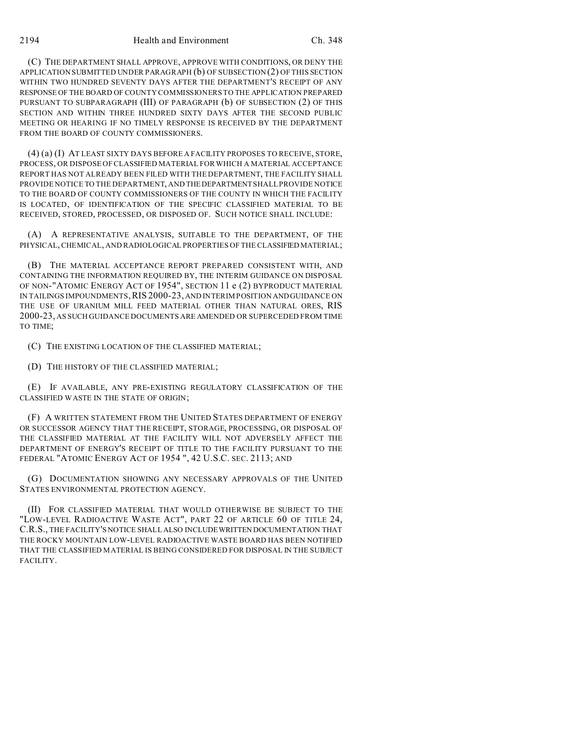(C) THE DEPARTMENT SHALL APPROVE, APPROVE WITH CONDITIONS, OR DENY THE APPLICATION SUBMITTED UNDER PARAGRAPH (b) OF SUBSECTION (2) OF THIS SECTION WITHIN TWO HUNDRED SEVENTY DAYS AFTER THE DEPARTMENT'S RECEIPT OF ANY RESPONSE OF THE BOARD OF COUNTY COMMISSIONERS TO THE APPLICATION PREPARED PURSUANT TO SUBPARAGRAPH (III) OF PARAGRAPH (b) OF SUBSECTION (2) OF THIS SECTION AND WITHIN THREE HUNDRED SIXTY DAYS AFTER THE SECOND PUBLIC MEETING OR HEARING IF NO TIMELY RESPONSE IS RECEIVED BY THE DEPARTMENT FROM THE BOARD OF COUNTY COMMISSIONERS.

(4) (a) (I) AT LEAST SIXTY DAYS BEFORE A FACILITY PROPOSES TO RECEIVE, STORE, PROCESS, OR DISPOSE OF CLASSIFIED MATERIAL FOR WHICH A MATERIAL ACCEPTANCE REPORT HAS NOT ALREADY BEEN FILED WITH THE DEPARTMENT, THE FACILITY SHALL PROVIDE NOTICE TO THE DEPARTMENT, AND THEDEPARTMENT SHALL PROVIDE NOTICE TO THE BOARD OF COUNTY COMMISSIONERS OF THE COUNTY IN WHICH THE FACILITY IS LOCATED, OF IDENTIFICATION OF THE SPECIFIC CLASSIFIED MATERIAL TO BE RECEIVED, STORED, PROCESSED, OR DISPOSED OF. SUCH NOTICE SHALL INCLUDE:

(A) A REPRESENTATIVE ANALYSIS, SUITABLE TO THE DEPARTMENT, OF THE PHYSICAL, CHEMICAL, AND RADIOLOGICAL PROPERTIES OF THE CLASSIFIED MATERIAL;

(B) THE MATERIAL ACCEPTANCE REPORT PREPARED CONSISTENT WITH, AND CONTAINING THE INFORMATION REQUIRED BY, THE INTERIM GUIDANCE ON DISPOSAL OF NON-"ATOMIC ENERGY ACT OF 1954", SECTION 11 e (2) BYPRODUCT MATERIAL IN TAILINGS IMPOUNDMENTS,RIS 2000-23, AND INTERIM POSITION ANDGUIDANCE ON THE USE OF URANIUM MILL FEED MATERIAL OTHER THAN NATURAL ORES, RIS 2000-23, AS SUCH GUIDANCE DOCUMENTS ARE AMENDED OR SUPERCEDED FROM TIME TO TIME;

(C) THE EXISTING LOCATION OF THE CLASSIFIED MATERIAL;

(D) THE HISTORY OF THE CLASSIFIED MATERIAL;

(E) IF AVAILABLE, ANY PRE-EXISTING REGULATORY CLASSIFICATION OF THE CLASSIFIED WASTE IN THE STATE OF ORIGIN;

(F) A WRITTEN STATEMENT FROM THE UNITED STATES DEPARTMENT OF ENERGY OR SUCCESSOR AGENCY THAT THE RECEIPT, STORAGE, PROCESSING, OR DISPOSAL OF THE CLASSIFIED MATERIAL AT THE FACILITY WILL NOT ADVERSELY AFFECT THE DEPARTMENT OF ENERGY'S RECEIPT OF TITLE TO THE FACILITY PURSUANT TO THE FEDERAL "ATOMIC ENERGY ACT OF 1954 ", 42 U.S.C. SEC. 2113; AND

(G) DOCUMENTATION SHOWING ANY NECESSARY APPROVALS OF THE UNITED STATES ENVIRONMENTAL PROTECTION AGENCY.

(II) FOR CLASSIFIED MATERIAL THAT WOULD OTHERWISE BE SUBJECT TO THE "LOW-LEVEL RADIOACTIVE WASTE ACT", PART 22 OF ARTICLE 60 OF TITLE 24, C.R.S., THE FACILITY'S NOTICE SHALL ALSO INCLUDEWRITTEN DOCUMENTATION THAT THE ROCKY MOUNTAIN LOW-LEVEL RADIOACTIVE WASTE BOARD HAS BEEN NOTIFIED THAT THE CLASSIFIED MATERIAL IS BEING CONSIDERED FOR DISPOSAL IN THE SUBJECT FACILITY.